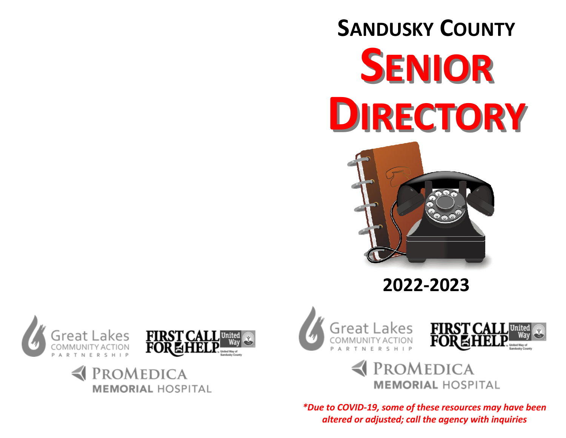# **SANDUSKY COUNTYSENIORDIRECTORY**



# **2022-2023**











*\*Due to COVID-19, some of these resources may have been altered or adjusted; call the agency with inquiries*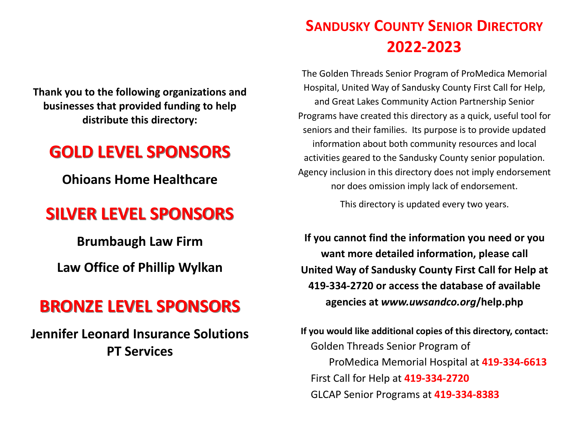**Thank you to the following organizations and businesses that provided funding to help distribute this directory:** 

# **GOLD LEVEL SPONSORS**

**Ohioans Home Healthcare** 

# **SILVER LEVEL SPONSORS**

**Brumbaugh Law Firm Law Office of Phillip Wylkan**

# **BRONZE LEVEL SPONSORS**

**Jennifer Leonard Insurance Solutions PT Services** 

# **SANDUSKY COUNTY SENIOR DIRECTORY2022-2023**

The Golden Threads Senior Program of ProMedica Memorial Hospital, United Way of Sandusky County First Call for Help, and Great Lakes Community Action Partnership SeniorPrograms have created this directory as a quick, useful tool for seniors and their families. Its purpose is to provide updated information about both community resources and local activities geared to the Sandusky County senior population. Agency inclusion in this directory does not imply endorsement nor does omission imply lack of endorsement.

This directory is updated every two years.

**If you cannot find the information you need or you want more detailed information, please call United Way of Sandusky County First Call for Help at 419-334-2720 or access the database of available agencies at** *www.uwsandco.org***/help.php**

**If you would like additional copies of this directory, contact:**  Golden Threads Senior Program of ProMedica Memorial Hospital at **419-334-6613** First Call for Help at **419-334-2720**GLCAP Senior Programs at **419-334-8383**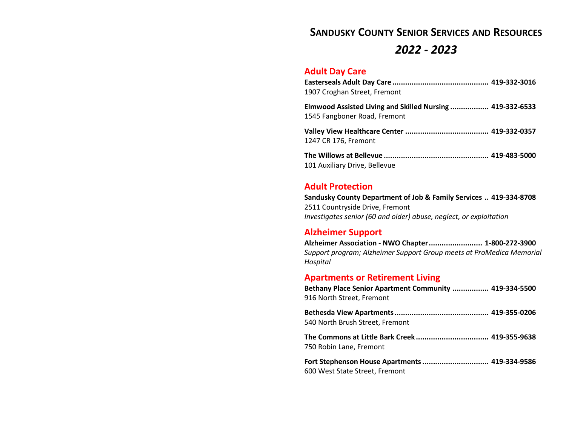# **SANDUSKY COUNTY SENIOR SERVICES AND RESOURCES**

# *2022 - 2023*

#### **Adult Day Care**

| 1907 Croghan Street, Fremont                                                              |  |
|-------------------------------------------------------------------------------------------|--|
| Elmwood Assisted Living and Skilled Nursing  419-332-6533<br>1545 Fangboner Road, Fremont |  |
| 1247 CR 176, Fremont                                                                      |  |
| 101 Auxiliary Drive, Bellevue                                                             |  |

#### **Adult Protection**

**Sandusky County Department of Job & Family Services .. 419-334-8708** 2511 Countryside Drive, Fremont *Investigates senior (60 and older) abuse, neglect, or exploitation*

## **Alzheimer Support**

| Alzheimer Association - NWO Chapter  1-800-272-3900                  |  |
|----------------------------------------------------------------------|--|
| Support program; Alzheimer Support Group meets at ProMedica Memorial |  |
| Hospital                                                             |  |

# **Apartments or Retirement Living**

| Bethany Place Senior Apartment Community  419-334-5500<br>916 North Street, Fremont |  |
|-------------------------------------------------------------------------------------|--|
| 540 North Brush Street, Fremont                                                     |  |
|                                                                                     |  |
| 750 Robin Lane, Fremont                                                             |  |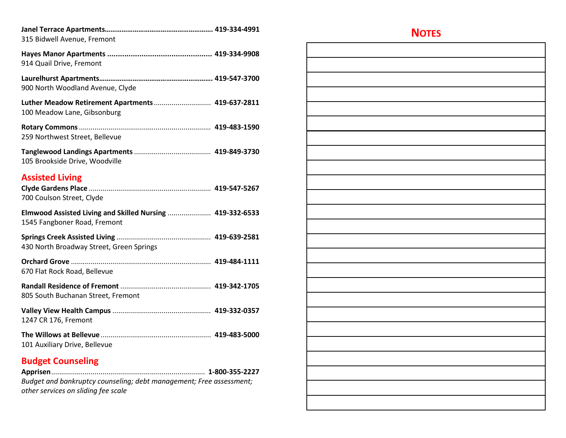| 315 Bidwell Avenue, Fremont                                                               |  |
|-------------------------------------------------------------------------------------------|--|
| 914 Quail Drive, Fremont                                                                  |  |
| 900 North Woodland Avenue, Clyde                                                          |  |
| Luther Meadow Retirement Apartments 419-637-2811<br>100 Meadow Lane, Gibsonburg           |  |
| 259 Northwest Street, Bellevue                                                            |  |
| 105 Brookside Drive, Woodville                                                            |  |
| <b>Assisted Living</b>                                                                    |  |
| 700 Coulson Street, Clyde                                                                 |  |
| Elmwood Assisted Living and Skilled Nursing  419-332-6533<br>1545 Fangboner Road, Fremont |  |
| 430 North Broadway Street, Green Springs                                                  |  |
| 670 Flat Rock Road, Bellevue                                                              |  |
| 805 South Buchanan Street, Fremont                                                        |  |
| 1247 CR 176, Fremont                                                                      |  |
| 101 Auxiliary Drive, Bellevue                                                             |  |
| <b>Budget Counseling</b>                                                                  |  |
|                                                                                           |  |
| Budget and bankruptcy counseling; debt management; Free assessment;                       |  |
| other services on sliding fee scale                                                       |  |

**NOTES**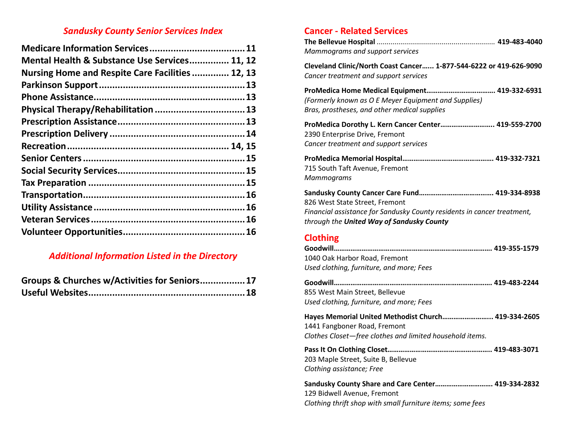# *Sandusky County Senior Services Index*

| Mental Health & Substance Use Services 11, 12   |
|-------------------------------------------------|
| Nursing Home and Respite Care Facilities 12, 13 |
|                                                 |
|                                                 |
|                                                 |
|                                                 |
|                                                 |
|                                                 |
|                                                 |
|                                                 |
|                                                 |
|                                                 |
|                                                 |
|                                                 |
|                                                 |

# *Additional Information Listed in the Directory*

| Groups & Churches w/Activities for Seniors 17 |  |
|-----------------------------------------------|--|
|                                               |  |

# **Cancer - Related Services**

| Mammograms and support services                                                                                                                        |
|--------------------------------------------------------------------------------------------------------------------------------------------------------|
| Cleveland Clinic/North Coast Cancer 1-877-544-6222 or 419-626-9090<br>Cancer treatment and support services                                            |
| (Formerly known as O E Meyer Equipment and Supplies)<br>Bras, prostheses, and other medical supplies                                                   |
| ProMedica Dorothy L. Kern Cancer Center 419-559-2700<br>2390 Enterprise Drive, Fremont<br>Cancer treatment and support services                        |
| 715 South Taft Avenue, Fremont<br>Mammograms                                                                                                           |
| 826 West State Street, Fremont<br>Financial assistance for Sandusky County residents in cancer treatment,<br>through the United Way of Sandusky County |
| <b>Clothing</b>                                                                                                                                        |

1040 Oak Harbor Road, Fremont *Used clothing, furniture, and more; Fees*

| 855 West Main Street, Bellevue                                                                                                                  |  |
|-------------------------------------------------------------------------------------------------------------------------------------------------|--|
| Used clothing, furniture, and more; Fees                                                                                                        |  |
| Hayes Memorial United Methodist Church 419-334-2605<br>1441 Fangboner Road, Fremont<br>Clothes Closet—free clothes and limited household items. |  |
| 203 Maple Street, Suite B, Bellevue<br>Clothing assistance; Free                                                                                |  |
| Sandusky County Share and Care Center 419-334-2832<br>129 Bidwell Avenue, Fremont                                                               |  |

*Clothing thrift shop with small furniture items; some fees*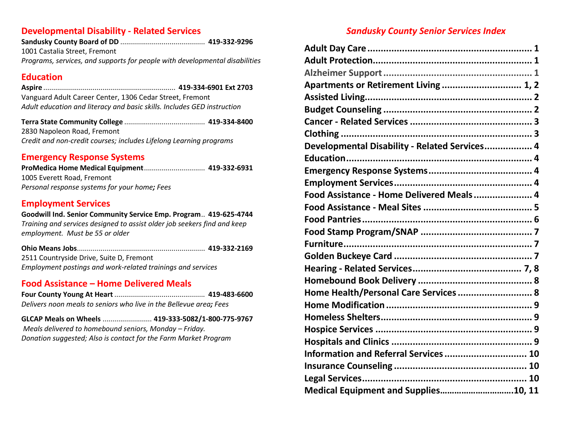#### **Developmental Disability - Related Services**

| 1001 Castalia Street, Fremont |  |
|-------------------------------|--|
|                               |  |

*Programs, services, and supports for people with developmental disabilities* 

# **Education**

| Vanguard Adult Career Center, 1306 Cedar Street, Fremont                |  |
|-------------------------------------------------------------------------|--|
| Adult education and literacy and basic skills. Includes GED instruction |  |
|                                                                         |  |

**Terra State Community College** ......................................... **419-334-8400**2830 Napoleon Road, Fremont *Credit and non-credit courses; includes Lifelong Learning programs* 

# **Emergency Response Systems**

**ProMedica Home Medical Equipment** ............................... **419-332-6931**1005 Everett Road, Fremont *Personal response systems for your home; Fees* 

# **Employment Services**

#### **Goodwill Ind. Senior Community Service Emp. Program** .. **419-625-4744** *Training and services designed to assist older job seekers find and keep*

*employment. Must be 55 or older* 

| 2511 Countryside Drive, Suite D, Fremont                    |  |
|-------------------------------------------------------------|--|
| Employment postings and work-related trainings and services |  |

# **Food Assistance – Home Delivered Meals**

 **Four County Young At Heart** .............................................. **419-483-6600** *Delivers noon meals to seniors who live in the Bellevue area; Fees* 

**GLCAP Meals on Wheels** ......................... **419-333-5082/1-800-775-9767** *Meals delivered to homebound seniors, Monday – Friday. Donation suggested; Also is contact for the Farm Market Program*

# *Sandusky County Senior Services Index*

| Apartments or Retirement Living  1, 2         |
|-----------------------------------------------|
|                                               |
|                                               |
|                                               |
|                                               |
| Developmental Disability - Related Services 4 |
|                                               |
|                                               |
|                                               |
| Food Assistance - Home Delivered Meals 4      |
|                                               |
|                                               |
|                                               |
|                                               |
|                                               |
|                                               |
|                                               |
| Home Health/Personal Care Services  8         |
|                                               |
|                                               |
|                                               |
|                                               |
| Information and Referral Services  10         |
|                                               |
|                                               |
| Medical Equipment and Supplies10, 11          |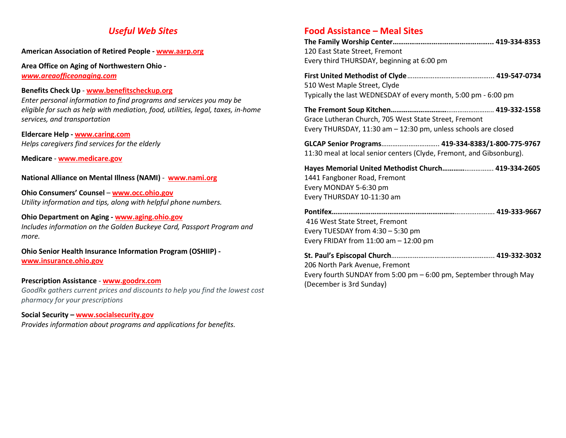#### *Useful Web Sites*

#### **American Association of Retired People - www.aarp.org**

**Area Office on Aging of Northwestern Ohio** *www.areaofficeonaging.com*

#### **Benefits Check Up** - **www.benefitscheckup.org**

 *Enter personal information to find programs and services you may be eligible for such as help with mediation, food, utilities, legal, taxes, in-home services, and transportation* 

**Eldercare Help - www.caring.com***Helps caregivers find services for the elderly* 

**Medicare** - **www.medicare.gov**

**National Alliance on Mental Illness (NAMI)** - **www.nami.org**

**Ohio Consumers' Counsel** – **www.occ.ohio.gov***Utility information and tips, along with helpful phone numbers.* 

#### **Ohio Department on Aging - www.aging.ohio.gov**

 *Includes information on the Golden Buckeye Card, Passport Program and more.* 

**Ohio Senior Health Insurance Information Program (OSHIIP) www.insurance.ohio.gov**

#### **Prescription Assistance** - **www.goodrx.com**

 *GoodRx gathers current prices and discounts to help you find the lowest cost pharmacy for your prescriptions* 

#### **Social Security – www.socialsecurity.gov**

*Provides information about programs and applications for benefits.* 

#### **Food Assistance – Meal Sites**

(December is 3rd Sunday)

| 120 East State Street, Fremont<br>Every third THURSDAY, beginning at 6:00 pm                                                                |  |
|---------------------------------------------------------------------------------------------------------------------------------------------|--|
| 510 West Maple Street, Clyde<br>Typically the last WEDNESDAY of every month, 5:00 pm - 6:00 pm                                              |  |
| Grace Lutheran Church, 705 West State Street, Fremont<br>Every THURSDAY, 11:30 am - 12:30 pm, unless schools are closed                     |  |
| GLCAP Senior Programs 419-334-8383/1-800-775-9767<br>11:30 meal at local senior centers (Clyde, Fremont, and Gibsonburg).                   |  |
| Hayes Memorial United Methodist Church 419-334-2605<br>1441 Fangboner Road, Fremont<br>Every MONDAY 5-6:30 pm<br>Every THURSDAY 10-11:30 am |  |
| 416 West State Street, Fremont<br>Every TUESDAY from $4:30 - 5:30$ pm<br>Every FRIDAY from $11:00$ am $-12:00$ pm                           |  |
| 206 North Park Avenue, Fremont<br>Every fourth SUNDAY from 5:00 pm - 6:00 pm, September through May                                         |  |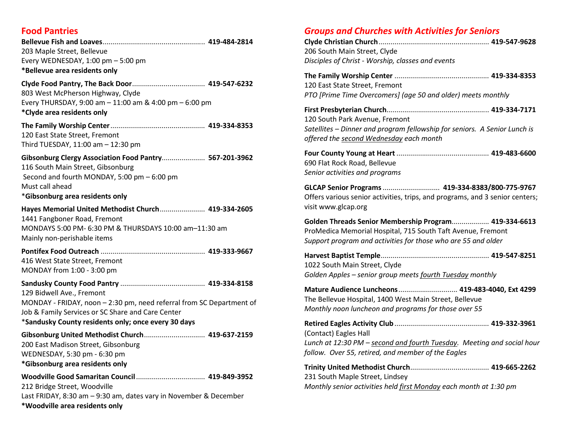## **Food Pantries**

| 203 Maple Street, Bellevue<br>Every WEDNESDAY, $1:00$ pm $-5:00$ pm<br>*Bellevue area residents only                                                                                                          |
|---------------------------------------------------------------------------------------------------------------------------------------------------------------------------------------------------------------|
| 803 West McPherson Highway, Clyde<br>Every THURSDAY, 9:00 am - 11:00 am & 4:00 pm - 6:00 pm<br>*Clyde area residents only                                                                                     |
| 120 East State Street, Fremont<br>Third TUESDAY, 11:00 am - 12:30 pm                                                                                                                                          |
| Gibsonburg Clergy Association Food Pantry 567-201-3962<br>116 South Main Street, Gibsonburg<br>Second and fourth MONDAY, 5:00 pm - 6:00 pm<br>Must call ahead<br>*Gibsonburg area residents only              |
| Hayes Memorial United Methodist Church 419-334-2605<br>1441 Fangboner Road, Fremont<br>MONDAYS 5:00 PM- 6:30 PM & THURSDAYS 10:00 am-11:30 am<br>Mainly non-perishable items                                  |
| 416 West State Street, Fremont<br>MONDAY from 1:00 - 3:00 pm                                                                                                                                                  |
| 129 Bidwell Ave., Fremont<br>MONDAY - FRIDAY, noon - 2:30 pm, need referral from SC Department of<br>Job & Family Services or SC Share and Care Center<br>*Sandusky County residents only; once every 30 days |
| Gibsonburg United Methodist Church 419-637-2159<br>200 East Madison Street, Gibsonburg<br>WEDNESDAY, 5:30 pm - 6:30 pm<br>*Gibsonburg area residents only                                                     |
| 212 Bridge Street, Woodville<br>Last FRIDAY, 8:30 am - 9:30 am, dates vary in November & December<br>*Woodville area residents only                                                                           |

#### *Groups and Churches with Activities for Seniors*

| 206 South Main Street, Clyde                      |  |
|---------------------------------------------------|--|
| Disciples of Christ - Worship, classes and events |  |
|                                                   |  |

**The Family Worship Center** ................................................ **419-334-8353** 120 East State Street, Fremont *PTO [Prime Time Overcomers] (age 50 and older) meets monthly* 

| 120 South Park Avenue. Fremont                                            |  |
|---------------------------------------------------------------------------|--|
| Satellites – Dinner and program fellowship for seniors. A Senior Lunch is |  |
| offered the second Wednesday each month                                   |  |

**Four County Young at Heart** ............................................... **419-483-6600**690 Flat Rock Road, Bellevue *Senior activities and programs* 

**GLCAP Senior Programs** ............................. **419-334-8383/800-775-9767** Offers various senior activities, trips, and programs, and 3 senior centers; visit www.glcap.org

**Golden Threads Senior Membership Program**................... **419-334-6613**ProMedica Memorial Hospital, 715 South Taft Avenue, Fremont *Support program and activities for those who are 55 and older* 

**Harvest Baptist Temple** ....................................................... **419-547-8251** 1022 South Main Street, Clyde *Golden Apples – senior group meets fourth Tuesday monthly* 

**Mature Audience Luncheons** .............................. **419-483-4040, Ext 4299**The Bellevue Hospital, 1400 West Main Street, Bellevue *Monthly noon luncheon and programs for those over 55* 

**Retired Eagles Activity Club** ................................................ **419-332-3961**(Contact) Eagles Hall *Lunch at 12:30 PM – second and fourth Tuesday. Meeting and social hour follow. Over 55, retired, and member of the Eagles*

**Trinity United Methodist Church** ........................................ **419-665-2262**231 South Maple Street, Lindsey *Monthly senior activities held first Monday each month at 1:30 pm*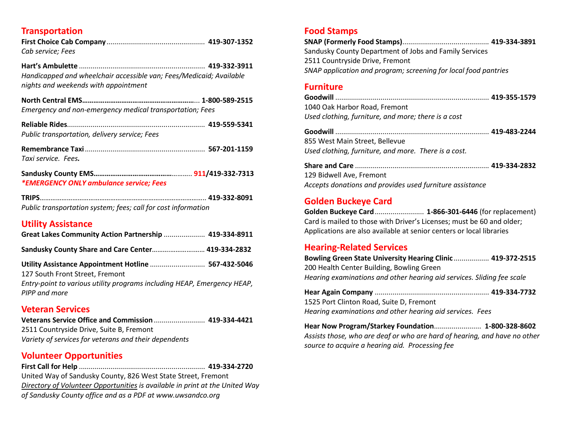## **Transportation**

| Cab service; Fees                                                                                           |  |
|-------------------------------------------------------------------------------------------------------------|--|
| Handicapped and wheelchair accessible van; Fees/Medicaid; Available<br>nights and weekends with appointment |  |
| Emergency and non-emergency medical transportation; Fees                                                    |  |
| Public transportation, delivery service; Fees                                                               |  |
| Taxi service. Fees.                                                                                         |  |
| <i>*EMERGENCY ONLY ambulance service; Fees</i>                                                              |  |
| Public transportation system; fees; call for cost information                                               |  |

#### **Utility Assistance**

| Great Lakes Community Action Partnership  419-334-8911                                                                                                                              |  |
|-------------------------------------------------------------------------------------------------------------------------------------------------------------------------------------|--|
| Sandusky County Share and Care Center 419-334-2832                                                                                                                                  |  |
| Utility Assistance Appointment Hotline  567-432-5046<br>127 South Front Street, Fremont<br>Entry-point to various utility programs including HEAP, Emergency HEAP,<br>PIPP and more |  |

#### **Veteran Services**

**Veterans Service Office and Commission** .......................... **419-334-4421** 2511 Countryside Drive, Suite B, Fremont *Variety of services for veterans and their dependents*

# **Volunteer Opportunities**

 **First Call for Help** ................................................................ **419-334-2720** United Way of Sandusky County, 826 West State Street, Fremont *Directory of Volunteer Opportunities is available in print at the United Way of Sandusky County office and as a PDF at www.uwsandco.org* 

#### **Food Stamps**

**SNAP (Formerly Food Stamps)** ............................................ **419-334-3891** Sandusky County Department of Jobs and Family Services 2511 Countryside Drive, Fremont *SNAP application and program; screening for local food pantries* 

## **Furniture**

| 1040 Oak Harbor Road, Fremont                       |  |
|-----------------------------------------------------|--|
| Used clothing, furniture, and more; there is a cost |  |

**Goodwill** .............................................................................. **419-483-2244**855 West Main Street, Bellevue *Used clothing, furniture, and more. There is a cost.*

**Share and Care** .................................................................... **419-334-2832**129 Bidwell Ave, Fremont *Accepts donations and provides used furniture assistance*

# **Golden Buckeye Card**

 **Golden Buckeye Card** ......................... **1-866-301-6446** (for replacement) Card is mailed to those with Driver's Licenses; must be 60 and older; Applications are also available at senior centers or local libraries

## **Hearing-Related Services**

**Bowling Green State University Hearing Clinic** .................. **419-372-2515**200 Health Center Building, Bowling Green *Hearing examinations and other hearing aid services. Sliding fee scale*

**Hear Again Company** .......................................................... **419-334-7732**1525 Port Clinton Road, Suite D, Fremont *Hearing examinations and other hearing aid services. Fees*

**Hear Now Program/Starkey Foundation**........................ **1-800-328-8602** *Assists those, who are deaf or who are hard of hearing, and have no other source to acquire a hearing aid. Processing fee*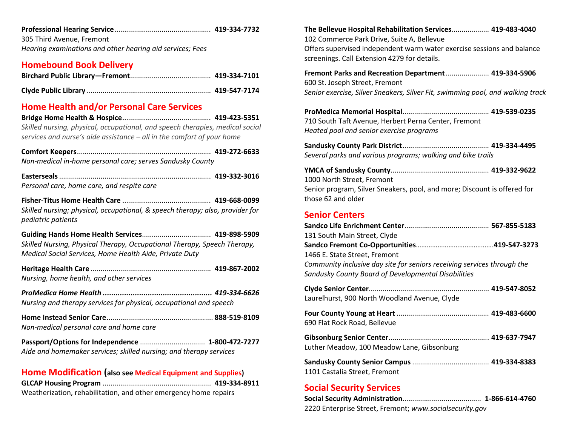|--|--|--|

305 Third Avenue, Fremont *Hearing examinations and other hearing aid services; Fees*

#### **Homebound Book Delivery**

#### **Home Health and/or Personal Care Services**

 **Bridge Home Health & Hospice** ............................................. **419-423-5351** *Skilled nursing, physical, occupational, and speech therapies, medical social services and nurse's aide assistance – all in the comfort of your home* 

| Non-medical in-home personal care; serves Sandusky County |  |
|-----------------------------------------------------------|--|

**Easterseals** ............................................................................. **419-332-3016***Personal care, home care, and respite care* 

**Fisher-Titus Home Health Care** ............................................. **419-668-0099** *Skilled nursing; physical, occupational, & speech therapy; also, provider for pediatric patients* 

**Guiding Hands Home Health Services** ................................... **419-898-5909** *Skilled Nursing, Physical Therapy, Occupational Therapy, Speech Therapy, Medical Social Services, Home Health Aide, Private Duty* 

**Heritage Health Care** ............................................................. **419-867-2002***Nursing, home health, and other services*

*ProMedica Home Health ................................................... 419-334-6626 Nursing and therapy services for physical, occupational and speech* 

**Home Instead Senior Care** ...................................................... **888-519-8109***Non-medical personal care and home care* 

**Passport/Options for Independence** ................................. **1-800-472-7277***Aide and homemaker services; skilled nursing; and therapy services* 

#### **Home Modification (also see Medical Equipment and Supplies)**

| Weatherization, rehabilitation, and other emergency home repairs |  |
|------------------------------------------------------------------|--|

**The Bellevue Hospital Rehabilitation Services** ................... **419-483-4040** 102 Commerce Park Drive, Suite A, Bellevue Offers supervised independent warm water exercise sessions and balance screenings. Call Extension 4279 for details. **Fremont Parks and Recreation Department** ...................... **419-334-5906**600 St. Joseph Street, Fremont

*Senior exercise, Silver Sneakers, Silver Fit, swimming pool, and walking track* 

**ProMedica Memorial Hospital** ............................................ **419-539-0235**710 South Taft Avenue, Herbert Perna Center, Fremont*Heated pool and senior exercise programs*

**Sandusky County Park District** ............................................ **419-334-4495***Several parks and various programs; walking and bike trails* 

**YMCA of Sandusky County** .................................................. **419-332-9622**  1000 North Street, Fremont Senior program, Silver Sneakers, pool, and more; Discount is offered for those 62 and older

#### **Senior Centers**

| 131 South Main Street, Clyde                                            |  |
|-------------------------------------------------------------------------|--|
|                                                                         |  |
| 1466 E. State Street, Fremont                                           |  |
| Community inclusive day site for seniors receiving services through the |  |
| Sandusky County Board of Developmental Disabilities                     |  |
|                                                                         |  |

**Clyde Senior Center** ............................................................. **419-547-8052**Laurelhurst, 900 North Woodland Avenue, Clyde

| 690 Flat Rock Road, Bellevue |  |
|------------------------------|--|

| Luther Meadow, 100 Meadow Lane, Gibsonburg |  |
|--------------------------------------------|--|

| 1101 Castalia Street, Fremont |  |
|-------------------------------|--|

#### **Social Security Services**

**Social Security Administration**........................................ **1-866-614-4760** 2220 Enterprise Street, Fremont; *www.socialsecurity.gov*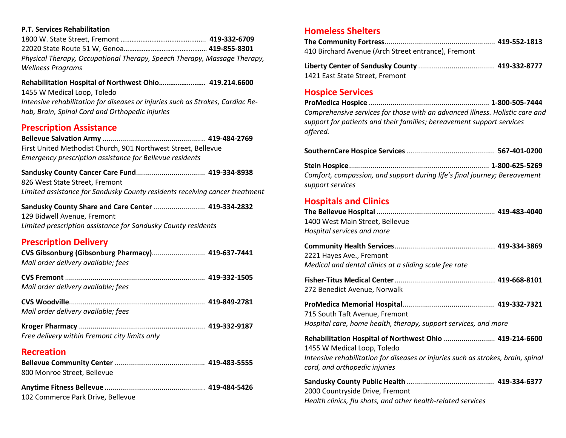#### **P.T. Services Rehabilitation**

 1800 W. State Street, Fremont …………………………………….…. **419-332-6709** 22020 State Route 51 W, Genoa…………………………………….… **419-855-8301** *Physical Therapy, Occupational Therapy, Speech Therapy, Massage Therapy, Wellness Programs* 

**Rehabilitation Hospital of Northwest Ohio……………………. 419.214.6600** 1455 W Medical Loop, Toledo *Intensive rehabilitation for diseases or injuries such as Strokes, Cardiac Rehab, Brain, Spinal Cord and Orthopedic injuries*

#### **Prescription Assistance**

**Bellevue Salvation Army** .................................................... **419-484-2769**First United Methodist Church, 901 Northwest Street, Bellevue

*Emergency prescription assistance for Bellevue residents* 

**Sandusky County Cancer Care Fund** ................................... **419-334-8938** 826 West State Street, Fremont *Limited assistance for Sandusky County residents receiving cancer treatment* 

**Sandusky County Share and Care Center** .......................... **419-334-2832** 129 Bidwell Avenue, Fremont *Limited prescription assistance for Sandusky County residents* 

#### **Prescription Delivery**

| CVS Gibsonburg (Gibsonburg Pharmacy) 419-637-7441<br>Mail order delivery available; fees |  |
|------------------------------------------------------------------------------------------|--|
| Mail order delivery available; fees                                                      |  |
| Mail order delivery available; fees                                                      |  |
| Free delivery within Fremont city limits only                                            |  |

#### **Recreation**

| 800 Monroe Street, Bellevue |  |
|-----------------------------|--|

| 102 Commerce Park Drive, Bellevue |  |
|-----------------------------------|--|

#### **Homeless Shelters**

| 410 Birchard Avenue (Arch Street entrance), Fremont |                                                  |
|-----------------------------------------------------|--------------------------------------------------|
| 1. Hart of Contract of Canadian Line Country        | $\overline{110}$ $\overline{222}$ $\overline{0}$ |

| 1421 East State Street, Fremont |  |
|---------------------------------|--|

#### **Hospice Services**

**ProMedica Hospice** ............................................................. **1-800-505-7444** *Comprehensive services for those with an advanced illness. Holistic care and support for patients and their families; bereavement support services offered.* 

|--|--|

**Stein Hospice** ....................................................................... **1-800-625-5269** *Comfort, compassion, and support during life's final journey; Bereavement support services* 

#### **Hospitals and Clinics**

| 1400 West Main Street, Bellevue |  |
|---------------------------------|--|
| Hospital services and more      |  |
|                                 |  |

| 2221 Hayes Ave., Fremont                               |
|--------------------------------------------------------|
| Medical and dental clinics at a sliding scale fee rate |

| 272 Benedict Avenue, Norwalk |  |
|------------------------------|--|

| 715 South Taft Avenue, Fremont                                  |  |
|-----------------------------------------------------------------|--|
| Hospital care, home health, therapy, support services, and more |  |

| Rehabilitation Hospital of Northwest Ohio  419-214-6600                          |  |
|----------------------------------------------------------------------------------|--|
| 1455 W Medical Loop, Toledo                                                      |  |
| Intensive rehabilitation for diseases or injuries such as strokes, brain, spinal |  |
| cord, and orthopedic injuries                                                    |  |

| 2000 Countryside Drive, Fremont                              |  |
|--------------------------------------------------------------|--|
| Health clinics, flu shots, and other health-related services |  |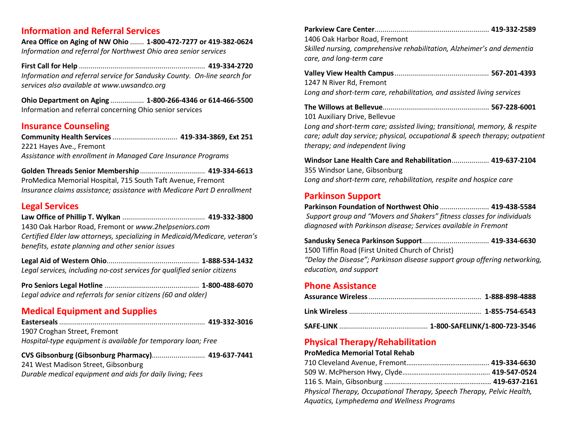#### **Information and Referral Services**

**Area Office on Aging of NW Ohio** ....... **1-800-472-7277 or 419-382-0624** *Information and referral for Northwest Ohio area senior services* 

**First Call for Help** ................................................................ **419-334-2720** *Information and referral service for Sandusky County. On-line search for services also available at www.uwsandco.org*

**Ohio Department on Aging** ................. **1-800-266-4346 or 614-466-5500**Information and referral concerning Ohio senior services

## **Insurance Counseling**

**Community Health Services** ................................. **419-334-3869, Ext 251** 2221 Hayes Ave., Fremont*Assistance with enrollment in Managed Care Insurance Programs* 

**Golden Threads Senior Membership** ................................. **419-334-6613** ProMedica Memorial Hospital, 715 South Taft Avenue, Fremont *Insurance claims assistance; assistance with Medicare Part D enrollment* 

## **Legal Services**

**Law Office of Phillip T. Wylkan** .......................................... **419-332-3800** 1430 Oak Harbor Road, Fremont or *www.2helpseniors.com*

 *Certified Elder law attorneys, specializing in Medicaid/Medicare, veteran's benefits, estate planning and other senior issues*

**Legal Aid of Western Ohio**............................................... **1-888-534-1432** *Legal services, including no-cost services for qualified senior citizens* 

**Pro Seniors Legal Hotline** ................................................ **1-800-488-6070** *Legal advice and referrals for senior citizens (60 and older)* 

# **Medical Equipment and Supplies**

| 1907 Croghan Street, Fremont                                  |  |
|---------------------------------------------------------------|--|
| Hospital-type equipment is available for temporary loan; Free |  |

**CVS Gibsonburg (Gibsonburg Pharmacy)**........................... **419-637-7441**241 West Madison Street, Gibsonburg *Durable medical equipment and aids for daily living; Fees*

|--|--|

1406 Oak Harbor Road, Fremont

*Skilled nursing, comprehensive rehabilitation, Alzheimer's and dementia care, and long-term care* 

**Valley View Health Campus** ................................................ **567-201-4393**1247 N River Rd, Fremont *Long and short-term care, rehabilitation, and assisted living services* 

| 101 Auxiliary Drive, Bellevue |  |
|-------------------------------|--|

*Long and short-term care; assisted living; transitional, memory, & respite care; adult day service; physical, occupational & speech therapy; outpatient therapy; and independent living*

**Windsor Lane Health Care and Rehabilitation** ................... **419-637-2104**355 Windsor Lane, Gibsonburg *Long and short-term care, rehabilitation, respite and hospice care* 

# **Parkinson Support**

 **Parkinson Foundation of Northwest Ohio** ......................... **419-438-5584**  *Support group and "Movers and Shakers" fitness classes for individuals diagnosed with Parkinson disease; Services available in Fremont* 

**Sandusky Seneca Parkinson Support** .................................. **419-334-6630**1500 Tiffin Road (First United Church of Christ) *"Delay the Disease"; Parkinson disease support group offering networking, education, and support* 

# **Phone Assistance**

# **Physical Therapy/Rehabilitation**

#### **ProMedica Memorial Total Rehab**

| Physical Therapy, Occupational Therapy, Speech Therapy, Pelvic Health, |  |
|------------------------------------------------------------------------|--|
| Aquatics, Lymphedema and Wellness Programs                             |  |